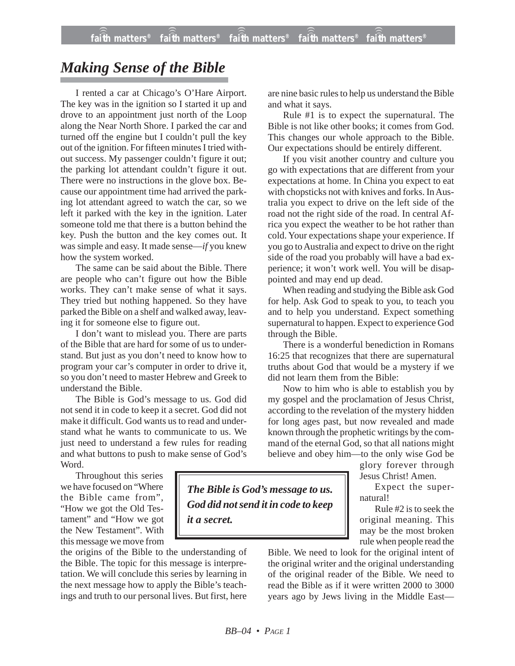## *Making Sense of the Bible*

I rented a car at Chicago's O'Hare Airport. The key was in the ignition so I started it up and drove to an appointment just north of the Loop along the Near North Shore. I parked the car and turned off the engine but I couldn't pull the key out of the ignition. For fifteen minutes I tried without success. My passenger couldn't figure it out; the parking lot attendant couldn't figure it out. There were no instructions in the glove box. Because our appointment time had arrived the parking lot attendant agreed to watch the car, so we left it parked with the key in the ignition. Later someone told me that there is a button behind the key. Push the button and the key comes out. It was simple and easy. It made sense—*if* you knew how the system worked.

The same can be said about the Bible. There are people who can't figure out how the Bible works. They can't make sense of what it says. They tried but nothing happened. So they have parked the Bible on a shelf and walked away, leaving it for someone else to figure out.

I don't want to mislead you. There are parts of the Bible that are hard for some of us to understand. But just as you don't need to know how to program your car's computer in order to drive it, so you don't need to master Hebrew and Greek to understand the Bible.

The Bible is God's message to us. God did not send it in code to keep it a secret. God did not make it difficult. God wants us to read and understand what he wants to communicate to us. We just need to understand a few rules for reading and what buttons to push to make sense of God's Word.

Throughout this series we have focused on "Where the Bible came from", "How we got the Old Testament" and "How we got the New Testament". With this message we move from

the origins of the Bible to the understanding of the Bible. The topic for this message is interpretation. We will conclude this series by learning in the next message how to apply the Bible's teachings and truth to our personal lives. But first, here are nine basic rules to help us understand the Bible and what it says.

Rule #1 is to expect the supernatural. The Bible is not like other books; it comes from God. This changes our whole approach to the Bible. Our expectations should be entirely different.

If you visit another country and culture you go with expectations that are different from your expectations at home. In China you expect to eat with chopsticks not with knives and forks. In Australia you expect to drive on the left side of the road not the right side of the road. In central Africa you expect the weather to be hot rather than cold. Your expectations shape your experience. If you go to Australia and expect to drive on the right side of the road you probably will have a bad experience; it won't work well. You will be disappointed and may end up dead.

When reading and studying the Bible ask God for help. Ask God to speak to you, to teach you and to help you understand. Expect something supernatural to happen. Expect to experience God through the Bible.

There is a wonderful benediction in Romans 16:25 that recognizes that there are supernatural truths about God that would be a mystery if we did not learn them from the Bible:

Now to him who is able to establish you by my gospel and the proclamation of Jesus Christ, according to the revelation of the mystery hidden for long ages past, but now revealed and made known through the prophetic writings by the command of the eternal God, so that all nations might believe and obey him—to the only wise God be

glory forever through Jesus Christ! Amen.

Expect the supernatural!

Rule #2 is to seek the original meaning. This may be the most broken rule when people read the

Bible. We need to look for the original intent of the original writer and the original understanding of the original reader of the Bible. We need to read the Bible as if it were written 2000 to 3000 years ago by Jews living in the Middle East—

*The Bible is God's message to us. God did not send it in code to keep it a secret.*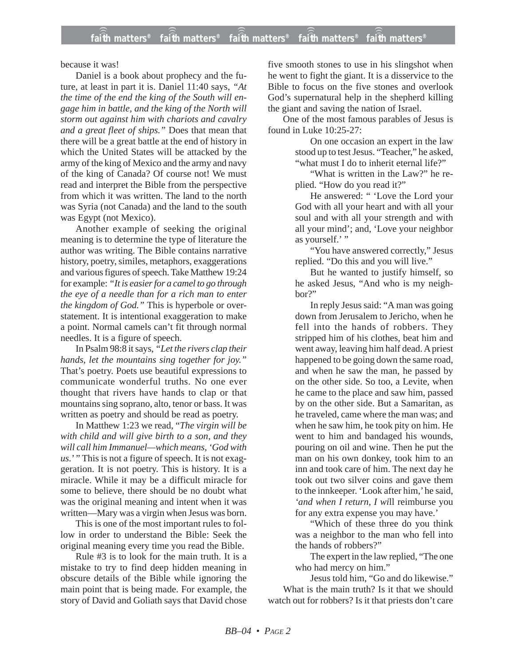because it was!

Daniel is a book about prophecy and the future, at least in part it is. Daniel 11:40 says, *"At the time of the end the king of the South will engage him in battle, and the king of the North will storm out against him with chariots and cavalry and a great fleet of ships."* Does that mean that there will be a great battle at the end of history in which the United States will be attacked by the army of the king of Mexico and the army and navy of the king of Canada? Of course not! We must read and interpret the Bible from the perspective from which it was written. The land to the north was Syria (not Canada) and the land to the south was Egypt (not Mexico).

Another example of seeking the original meaning is to determine the type of literature the author was writing. The Bible contains narrative history, poetry, similes, metaphors, exaggerations and various figures of speech. Take Matthew 19:24 for example: *"It is easier for a camel to go through the eye of a needle than for a rich man to enter the kingdom of God."* This is hyperbole or overstatement. It is intentional exaggeration to make a point. Normal camels can't fit through normal needles. It is a figure of speech.

In Psalm 98:8 it says, *"Let the rivers clap their hands, let the mountains sing together for joy."* That's poetry. Poets use beautiful expressions to communicate wonderful truths. No one ever thought that rivers have hands to clap or that mountains sing soprano, alto, tenor or bass. It was written as poetry and should be read as poetry.

In Matthew 1:23 we read, "*The virgin will be with child and will give birth to a son, and they will call him Immanuel—which means, 'God with us.*' " This is not a figure of speech. It is not exaggeration. It is not poetry. This is history. It is a miracle. While it may be a difficult miracle for some to believe, there should be no doubt what was the original meaning and intent when it was written—Mary was a virgin when Jesus was born.

This is one of the most important rules to follow in order to understand the Bible: Seek the original meaning every time you read the Bible.

Rule #3 is to look for the main truth. It is a mistake to try to find deep hidden meaning in obscure details of the Bible while ignoring the main point that is being made. For example, the story of David and Goliath says that David chose five smooth stones to use in his slingshot when he went to fight the giant. It is a disservice to the Bible to focus on the five stones and overlook God's supernatural help in the shepherd killing the giant and saving the nation of Israel.

One of the most famous parables of Jesus is found in Luke 10:25-27:

> On one occasion an expert in the law stood up to test Jesus. "Teacher," he asked, "what must I do to inherit eternal life?"

> "What is written in the Law?" he replied. "How do you read it?"

> He answered: " 'Love the Lord your God with all your heart and with all your soul and with all your strength and with all your mind'; and, 'Love your neighbor as yourself.'"

> "You have answered correctly," Jesus replied. "Do this and you will live."

> But he wanted to justify himself, so he asked Jesus, "And who is my neighbor?"

> In reply Jesus said: "A man was going down from Jerusalem to Jericho, when he fell into the hands of robbers. They stripped him of his clothes, beat him and went away, leaving him half dead. A priest happened to be going down the same road, and when he saw the man, he passed by on the other side. So too, a Levite, when he came to the place and saw him, passed by on the other side. But a Samaritan, as he traveled, came where the man was; and when he saw him, he took pity on him. He went to him and bandaged his wounds, pouring on oil and wine. Then he put the man on his own donkey, took him to an inn and took care of him. The next day he took out two silver coins and gave them to the innkeeper. 'Look after him,' he said, *'and when I return, I wi*ll reimburse you for any extra expense you may have.'

> "Which of these three do you think was a neighbor to the man who fell into the hands of robbers?"

> The expert in the law replied, "The one who had mercy on him."

Jesus told him, "Go and do likewise." What is the main truth? Is it that we should watch out for robbers? Is it that priests don't care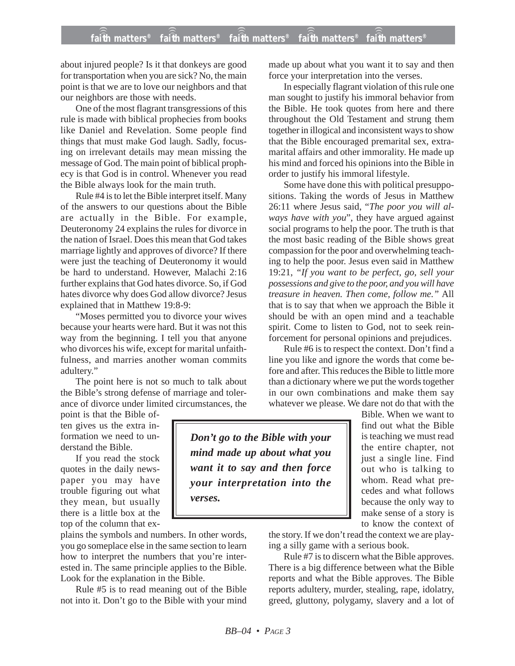about injured people? Is it that donkeys are good for transportation when you are sick? No, the main point is that we are to love our neighbors and that our neighbors are those with needs.

One of the most flagrant transgressions of this rule is made with biblical prophecies from books like Daniel and Revelation. Some people find things that must make God laugh. Sadly, focusing on irrelevant details may mean missing the message of God. The main point of biblical prophecy is that God is in control. Whenever you read the Bible always look for the main truth.

Rule #4 is to let the Bible interpret itself. Many of the answers to our questions about the Bible are actually in the Bible. For example, Deuteronomy 24 explains the rules for divorce in the nation of Israel. Does this mean that God takes marriage lightly and approves of divorce? If there were just the teaching of Deuteronomy it would be hard to understand. However, Malachi 2:16 further explains that God hates divorce. So, if God hates divorce why does God allow divorce? Jesus explained that in Matthew 19:8-9:

"Moses permitted you to divorce your wives because your hearts were hard. But it was not this way from the beginning. I tell you that anyone who divorces his wife, except for marital unfaithfulness, and marries another woman commits adultery."

The point here is not so much to talk about the Bible's strong defense of marriage and tolerance of divorce under limited circumstances, the

point is that the Bible often gives us the extra information we need to understand the Bible.

If you read the stock quotes in the daily newspaper you may have trouble figuring out what they mean, but usually there is a little box at the top of the column that ex-

plains the symbols and numbers. In other words, you go someplace else in the same section to learn how to interpret the numbers that you're interested in. The same principle applies to the Bible. Look for the explanation in the Bible.

*verses.*

Rule #5 is to read meaning out of the Bible not into it. Don't go to the Bible with your mind made up about what you want it to say and then force your interpretation into the verses.

In especially flagrant violation of this rule one man sought to justify his immoral behavior from the Bible. He took quotes from here and there throughout the Old Testament and strung them together in illogical and inconsistent ways to show that the Bible encouraged premarital sex, extramarital affairs and other immorality. He made up his mind and forced his opinions into the Bible in order to justify his immoral lifestyle.

Some have done this with political presuppositions. Taking the words of Jesus in Matthew 26:11 where Jesus said, "*The poor you will always have with you*", they have argued against social programs to help the poor. The truth is that the most basic reading of the Bible shows great compassion for the poor and overwhelming teaching to help the poor. Jesus even said in Matthew 19:21, *"If you want to be perfect, go, sell your possessions and give to the poor, and you will have treasure in heaven. Then come, follow me."* All that is to say that when we approach the Bible it should be with an open mind and a teachable spirit. Come to listen to God, not to seek reinforcement for personal opinions and prejudices.

Rule #6 is to respect the context. Don't find a line you like and ignore the words that come before and after. This reduces the Bible to little more than a dictionary where we put the words together in our own combinations and make them say whatever we please. We dare not do that with the

*Don't go to the Bible with your mind made up about what you want it to say and then force your interpretation into the*

Bible. When we want to find out what the Bible is teaching we must read the entire chapter, not just a single line. Find out who is talking to whom. Read what precedes and what follows because the only way to make sense of a story is to know the context of

the story. If we don't read the context we are playing a silly game with a serious book.

Rule #7 is to discern what the Bible approves. There is a big difference between what the Bible reports and what the Bible approves. The Bible reports adultery, murder, stealing, rape, idolatry, greed, gluttony, polygamy, slavery and a lot of